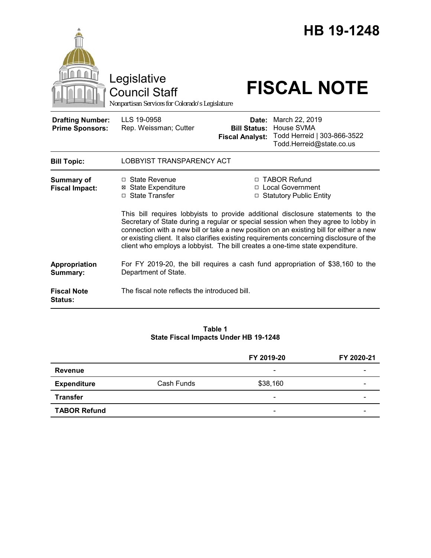

Council Staff

# Legislative<br>Council Staff **FISCAL NOTE**

*Nonpartisan Services for Colorado's Legislature*

| <b>Drafting Number:</b> | LLS 19-0958           |
|-------------------------|-----------------------|
| <b>Prime Sponsors:</b>  | Rep. Weissman; Cutter |
|                         |                       |

**Date:** March 22, 2019 **Bill Status:** House SVMA **Fiscal Analyst:** Todd Herreid | 303-866-3522 Todd.Herreid@state.co.us

| <b>Bill Topic:</b>                   | LOBBYIST TRANSPARENCY ACT                                                                                                                                                                                                                                                                                                                                                                                                                    |                                                                                  |  |
|--------------------------------------|----------------------------------------------------------------------------------------------------------------------------------------------------------------------------------------------------------------------------------------------------------------------------------------------------------------------------------------------------------------------------------------------------------------------------------------------|----------------------------------------------------------------------------------|--|
| Summary of<br><b>Fiscal Impact:</b>  | □ State Revenue<br>⊠ State Expenditure<br>□ State Transfer                                                                                                                                                                                                                                                                                                                                                                                   | □ TABOR Refund<br>□ Local Government<br><b>Statutory Public Entity</b><br>$\Box$ |  |
|                                      | This bill requires lobbyists to provide additional disclosure statements to the<br>Secretary of State during a regular or special session when they agree to lobby in<br>connection with a new bill or take a new position on an existing bill for either a new<br>or existing client. It also clarifies existing requirements concerning disclosure of the<br>client who employs a lobbyist. The bill creates a one-time state expenditure. |                                                                                  |  |
| Appropriation<br>Summary:            | Department of State.                                                                                                                                                                                                                                                                                                                                                                                                                         | For FY 2019-20, the bill requires a cash fund appropriation of \$38,160 to the   |  |
| <b>Fiscal Note</b><br><b>Status:</b> | The fiscal note reflects the introduced bill.                                                                                                                                                                                                                                                                                                                                                                                                |                                                                                  |  |

#### **Table 1 State Fiscal Impacts Under HB 19-1248**

|                     |            | FY 2019-20               | FY 2020-21 |
|---------------------|------------|--------------------------|------------|
| Revenue             |            | $\overline{\phantom{0}}$ |            |
| <b>Expenditure</b>  | Cash Funds | \$38,160                 | -          |
| <b>Transfer</b>     |            | $\overline{\phantom{0}}$ |            |
| <b>TABOR Refund</b> |            | $\qquad \qquad$          | -          |